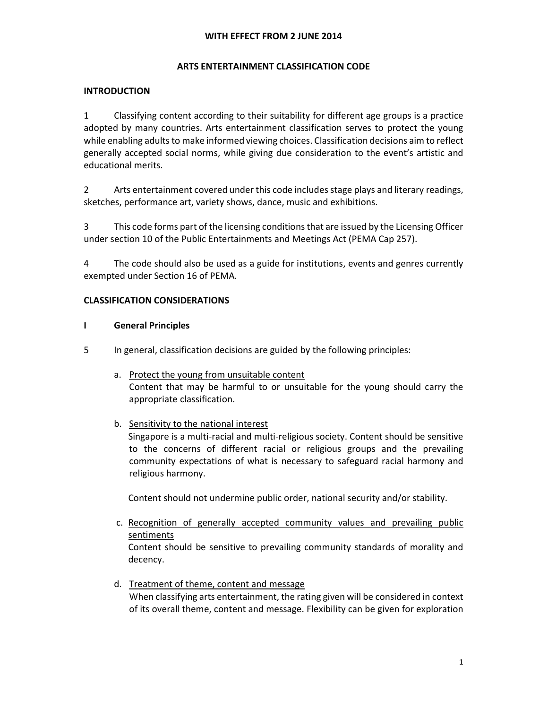## ARTS ENTERTAINMENT CLASSIFICATION CODE

## INTRODUCTION

1 Classifying content according to their suitability for different age groups is a practice adopted by many countries. Arts entertainment classification serves to protect the young while enabling adults to make informed viewing choices. Classification decisions aim to reflect generally accepted social norms, while giving due consideration to the event's artistic and educational merits.

2 Arts entertainment covered under this code includes stage plays and literary readings, sketches, performance art, variety shows, dance, music and exhibitions.

3 This code forms part of the licensing conditions that are issued by the Licensing Officer under section 10 of the Public Entertainments and Meetings Act (PEMA Cap 257).

4 The code should also be used as a guide for institutions, events and genres currently exempted under Section 16 of PEMA.

## CLASSIFICATION CONSIDERATIONS

## I General Principles

- 5 In general, classification decisions are guided by the following principles:
	- a. Protect the young from unsuitable content Content that may be harmful to or unsuitable for the young should carry the appropriate classification.
	- b. Sensitivity to the national interest Singapore is a multi-racial and multi-religious society. Content should be sensitive to the concerns of different racial or religious groups and the prevailing community expectations of what is necessary to safeguard racial harmony and religious harmony.

Content should not undermine public order, national security and/or stability.

- c. Recognition of generally accepted community values and prevailing public sentiments Content should be sensitive to prevailing community standards of morality and decency.
- d. Treatment of theme, content and message When classifying arts entertainment, the rating given will be considered in context of its overall theme, content and message. Flexibility can be given for exploration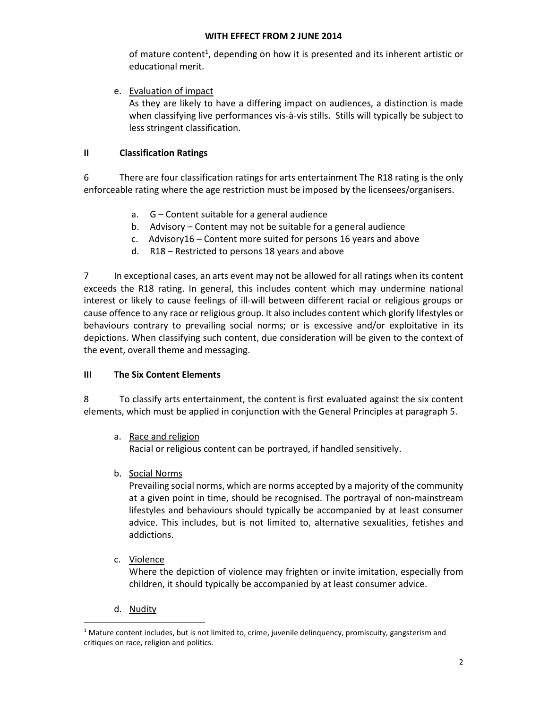of mature content<sup>1</sup>, depending on how it is presented and its inherent artistic or educational merit.

e. Evaluation of impact

As they are likely to have a differing impact on audiences, a distinction is made when classifying live performances vis-à-vis stills. Stills will typically be subject to less stringent classification.

# II Classification Ratings

6 There are four classification ratings for arts entertainment The R18 rating is the only enforceable rating where the age restriction must be imposed by the licensees/organisers.

- a. G Content suitable for a general audience
- b. Advisory Content may not be suitable for a general audience
- c. Advisory16 Content more suited for persons 16 years and above
- d. R18 Restricted to persons 18 years and above

7 In exceptional cases, an arts event may not be allowed for all ratings when its content exceeds the R18 rating. In general, this includes content which may undermine national interest or likely to cause feelings of ill-will between different racial or religious groups or cause offence to any race or religious group. It also includes content which glorify lifestyles or behaviours contrary to prevailing social norms; or is excessive and/or exploitative in its depictions. When classifying such content, due consideration will be given to the context of the event, overall theme and messaging.

# III The Six Content Elements

8 To classify arts entertainment, the content is first evaluated against the six content elements, which must be applied in conjunction with the General Principles at paragraph 5.

a. Race and religion

Racial or religious content can be portrayed, if handled sensitively.

b. Social Norms

Prevailing social norms, which are norms accepted by a majority of the community at a given point in time, should be recognised. The portrayal of non-mainstream lifestyles and behaviours should typically be accompanied by at least consumer advice. This includes, but is not limited to, alternative sexualities, fetishes and addictions.

c. Violence

Where the depiction of violence may frighten or invite imitation, especially from children, it should typically be accompanied by at least consumer advice.

d. Nudity

 $\overline{a}$ 

<sup>&</sup>lt;sup>1</sup> Mature content includes, but is not limited to, crime, juvenile delinquency, promiscuity, gangsterism and critiques on race, religion and politics.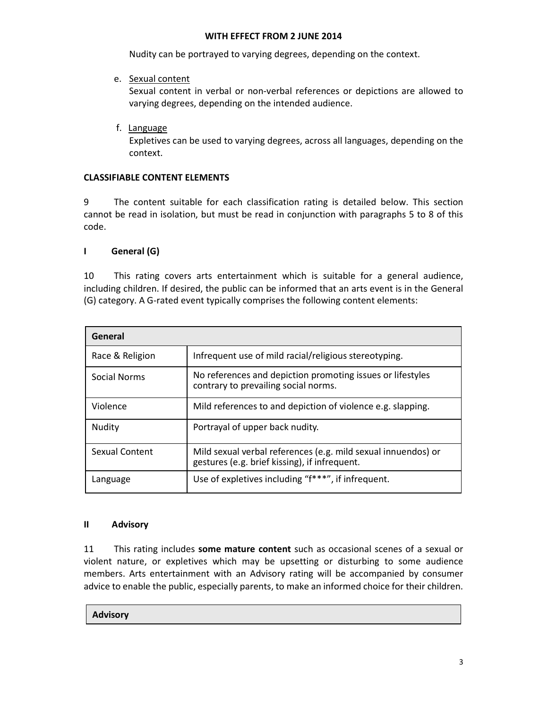Nudity can be portrayed to varying degrees, depending on the context.

e. Sexual content

Sexual content in verbal or non-verbal references or depictions are allowed to varying degrees, depending on the intended audience.

f. Language

Expletives can be used to varying degrees, across all languages, depending on the context.

## CLASSIFIABLE CONTENT ELEMENTS

9 The content suitable for each classification rating is detailed below. This section cannot be read in isolation, but must be read in conjunction with paragraphs 5 to 8 of this code.

## I General (G)

10 This rating covers arts entertainment which is suitable for a general audience, including children. If desired, the public can be informed that an arts event is in the General (G) category. A G-rated event typically comprises the following content elements:

| General               |                                                                                                                |
|-----------------------|----------------------------------------------------------------------------------------------------------------|
| Race & Religion       | Infrequent use of mild racial/religious stereotyping.                                                          |
| Social Norms          | No references and depiction promoting issues or lifestyles<br>contrary to prevailing social norms.             |
| Violence              | Mild references to and depiction of violence e.g. slapping.                                                    |
| Nudity                | Portrayal of upper back nudity.                                                                                |
| <b>Sexual Content</b> | Mild sexual verbal references (e.g. mild sexual innuendos) or<br>gestures (e.g. brief kissing), if infrequent. |
| Language              | Use of expletives including "f***", if infrequent.                                                             |

# II Advisory

11 This rating includes some mature content such as occasional scenes of a sexual or violent nature, or expletives which may be upsetting or disturbing to some audience members. Arts entertainment with an Advisory rating will be accompanied by consumer advice to enable the public, especially parents, to make an informed choice for their children.

Advisory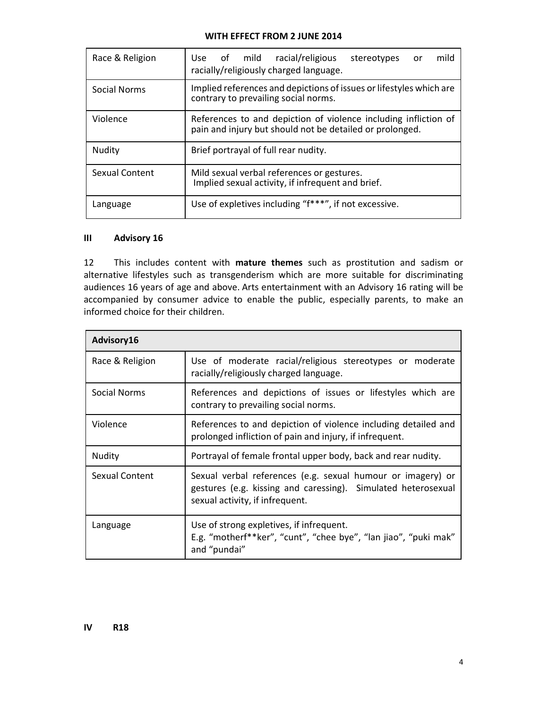| Race & Religion | Use of mild racial/religious<br>mild<br>stereotypes<br>or<br>racially/religiously charged language.                         |
|-----------------|-----------------------------------------------------------------------------------------------------------------------------|
| Social Norms    | Implied references and depictions of issues or lifestyles which are<br>contrary to prevailing social norms.                 |
| Violence        | References to and depiction of violence including infliction of<br>pain and injury but should not be detailed or prolonged. |
| Nudity          | Brief portrayal of full rear nudity.                                                                                        |
| Sexual Content  | Mild sexual verbal references or gestures.<br>Implied sexual activity, if infrequent and brief.                             |
| Language        | Use of expletives including "f***", if not excessive.                                                                       |

# III Advisory 16

12 This includes content with mature themes such as prostitution and sadism or alternative lifestyles such as transgenderism which are more suitable for discriminating audiences 16 years of age and above. Arts entertainment with an Advisory 16 rating will be accompanied by consumer advice to enable the public, especially parents, to make an informed choice for their children.

| Advisory16      |                                                                                                                                                                 |
|-----------------|-----------------------------------------------------------------------------------------------------------------------------------------------------------------|
| Race & Religion | Use of moderate racial/religious stereotypes or moderate<br>racially/religiously charged language.                                                              |
| Social Norms    | References and depictions of issues or lifestyles which are<br>contrary to prevailing social norms.                                                             |
| Violence        | References to and depiction of violence including detailed and<br>prolonged infliction of pain and injury, if infrequent.                                       |
| Nudity          | Portrayal of female frontal upper body, back and rear nudity.                                                                                                   |
| Sexual Content  | Sexual verbal references (e.g. sexual humour or imagery) or<br>gestures (e.g. kissing and caressing). Simulated heterosexual<br>sexual activity, if infrequent. |
| Language        | Use of strong expletives, if infrequent.<br>E.g. "motherf**ker", "cunt", "chee bye", "lan jiao", "puki mak"<br>and "pundai"                                     |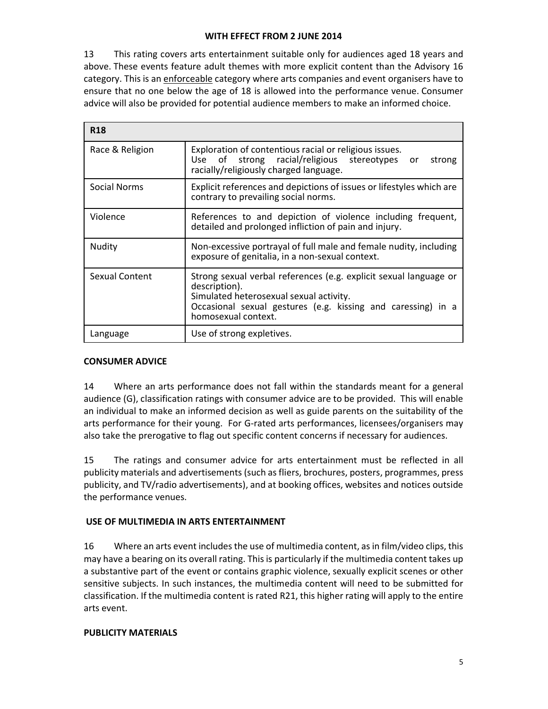13 This rating covers arts entertainment suitable only for audiences aged 18 years and above. These events feature adult themes with more explicit content than the Advisory 16 category. This is an enforceable category where arts companies and event organisers have to ensure that no one below the age of 18 is allowed into the performance venue. Consumer advice will also be provided for potential audience members to make an informed choice.

| <b>R18</b>          |                                                                                                                                                                                                                      |
|---------------------|----------------------------------------------------------------------------------------------------------------------------------------------------------------------------------------------------------------------|
| Race & Religion     | Exploration of contentious racial or religious issues.<br>Use of strong racial/religious stereotypes<br>or<br>strong<br>racially/religiously charged language.                                                       |
| <b>Social Norms</b> | Explicit references and depictions of issues or lifestyles which are<br>contrary to prevailing social norms.                                                                                                         |
| Violence            | References to and depiction of violence including frequent,<br>detailed and prolonged infliction of pain and injury.                                                                                                 |
| Nudity              | Non-excessive portrayal of full male and female nudity, including<br>exposure of genitalia, in a non-sexual context.                                                                                                 |
| Sexual Content      | Strong sexual verbal references (e.g. explicit sexual language or<br>description).<br>Simulated heterosexual sexual activity.<br>Occasional sexual gestures (e.g. kissing and caressing) in a<br>homosexual context. |
| Language            | Use of strong expletives.                                                                                                                                                                                            |

# CONSUMER ADVICE

14 Where an arts performance does not fall within the standards meant for a general audience (G), classification ratings with consumer advice are to be provided. This will enable an individual to make an informed decision as well as guide parents on the suitability of the arts performance for their young. For G-rated arts performances, licensees/organisers may also take the prerogative to flag out specific content concerns if necessary for audiences.

15 The ratings and consumer advice for arts entertainment must be reflected in all publicity materials and advertisements (such as fliers, brochures, posters, programmes, press publicity, and TV/radio advertisements), and at booking offices, websites and notices outside the performance venues.

# USE OF MULTIMEDIA IN ARTS ENTERTAINMENT

16 Where an arts event includes the use of multimedia content, as in film/video clips, this may have a bearing on its overall rating. This is particularly if the multimedia content takes up a substantive part of the event or contains graphic violence, sexually explicit scenes or other sensitive subjects. In such instances, the multimedia content will need to be submitted for classification. If the multimedia content is rated R21, this higher rating will apply to the entire arts event.

# PUBLICITY MATERIALS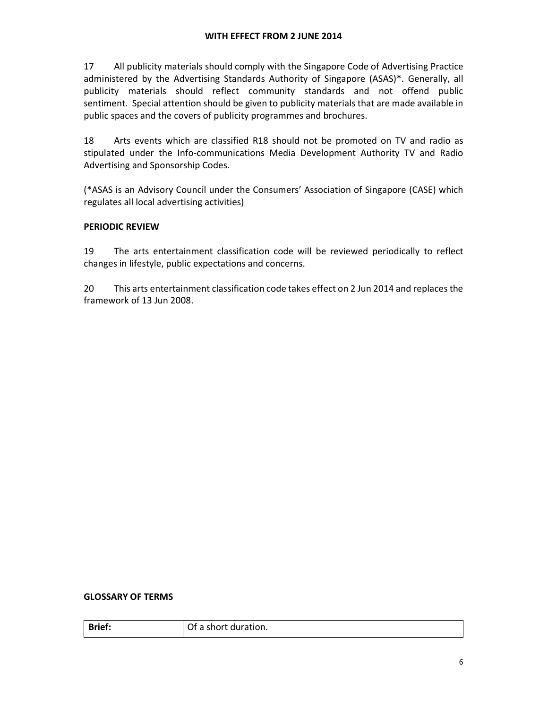17 All publicity materials should comply with the Singapore Code of Advertising Practice administered by the Advertising Standards Authority of Singapore (ASAS)\*. Generally, all publicity materials should reflect community standards and not offend public sentiment. Special attention should be given to publicity materials that are made available in public spaces and the covers of publicity programmes and brochures.

18 Arts events which are classified R18 should not be promoted on TV and radio as stipulated under the Info-communications Media Development Authority TV and Radio Advertising and Sponsorship Codes.

(\*ASAS is an Advisory Council under the Consumers' Association of Singapore (CASE) which regulates all local advertising activities)

# PERIODIC REVIEW

19 The arts entertainment classification code will be reviewed periodically to reflect changes in lifestyle, public expectations and concerns.

20 This arts entertainment classification code takes effect on 2 Jun 2014 and replaces the framework of 13 Jun 2008.

### GLOSSARY OF TERMS

| <b>Brief:</b> | Of a short duration. |
|---------------|----------------------|